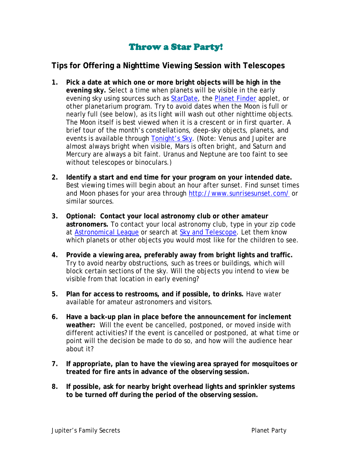## Throw a Star Party!

## **Tips for Offering a Nighttime Viewing Session with Telescopes**

- **1. Pick a date at which one or more bright objects will be high in the evening sky.** Select a time when planets will be visible in the early evening sky using sources such as [StarDate,](http://stardate.org/nightsky/planets/) the [Planet Finder](http://www.lightandmatter.com/planetfinder/en/) applet, or other planetarium program. Try to avoid dates when the Moon is full or nearly full (see below), as its light will wash out other nighttime objects. The Moon itself is best viewed when it is a crescent or in first quarter. A brief tour of the month's constellations, deep-sky objects, planets, and events is available through [Tonight's Sky.](http://amazing-space.stsci.edu/tonights_sky/) (Note: Venus and Jupiter are almost always bright when visible, Mars is often bright, and Saturn and Mercury are always a bit faint. Uranus and Neptune are too faint to see without telescopes or binoculars.)
- **2. Identify a start and end time for your program on your intended date.** Best viewing times will begin about an hour after sunset. Find sunset times and Moon phases for your area through<http://www.sunrisesunset.com/> or similar sources.
- **3. Optional: Contact your local astronomy club or other amateur astronomers.** To contact your local astronomy club, type in your zip code at [Astronomical League](http://www.astroleague.org/) or search at [Sky and Telescope.](http://www.skyandtelescope.com/community/organizations) Let them know which planets or other objects you would most like for the children to see.
- **4. Provide a viewing area, preferably away from bright lights and traffic.** Try to avoid nearby obstructions, such as trees or buildings, which will block certain sections of the sky. Will the objects you intend to view be visible from that location in early evening?
- **5. Plan for access to restrooms, and if possible, to drinks.** Have water available for amateur astronomers and visitors.
- **6. Have a back-up plan in place before the announcement for inclement weather:** Will the event be cancelled, postponed, or moved inside with different activities? If the event is cancelled or postponed, at what time or point will the decision be made to do so, and how will the audience hear about it?
- **7. If appropriate, plan to have the viewing area sprayed for mosquitoes or treated for fire ants in advance of the observing session.**
- **8. If possible, ask for nearby bright overhead lights and sprinkler systems to be turned off during the period of the observing session.**